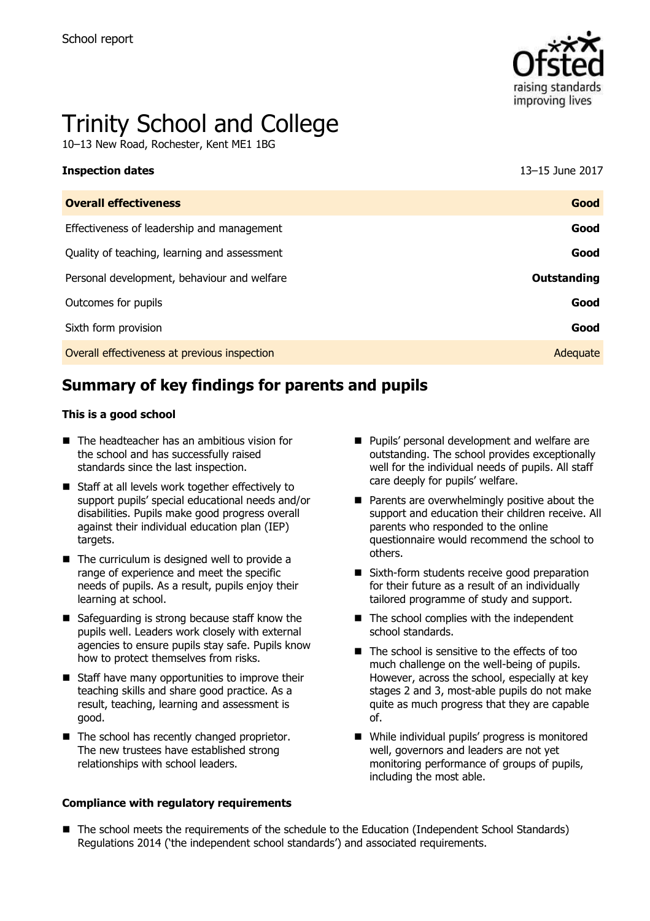

# Trinity School and College

10–13 New Road, Rochester, Kent ME1 1BG

| <b>Inspection dates</b>                      | 13–15 June 2017 |
|----------------------------------------------|-----------------|
| <b>Overall effectiveness</b>                 | Good            |
| Effectiveness of leadership and management   | Good            |
| Quality of teaching, learning and assessment | Good            |
| Personal development, behaviour and welfare  | Outstanding     |
| Outcomes for pupils                          | Good            |
| Sixth form provision                         | Good            |
| Overall effectiveness at previous inspection | Adequate        |

# **Summary of key findings for parents and pupils**

#### **This is a good school**

- The headteacher has an ambitious vision for the school and has successfully raised standards since the last inspection.
- Staff at all levels work together effectively to support pupils' special educational needs and/or disabilities. Pupils make good progress overall against their individual education plan (IEP) targets.
- $\blacksquare$  The curriculum is designed well to provide a range of experience and meet the specific needs of pupils. As a result, pupils enjoy their learning at school.
- Safeguarding is strong because staff know the pupils well. Leaders work closely with external agencies to ensure pupils stay safe. Pupils know how to protect themselves from risks.
- Staff have many opportunities to improve their teaching skills and share good practice. As a result, teaching, learning and assessment is good.
- $\blacksquare$  The school has recently changed proprietor. The new trustees have established strong relationships with school leaders.

#### **Compliance with regulatory requirements**

- **Pupils' personal development and welfare are** outstanding. The school provides exceptionally well for the individual needs of pupils. All staff care deeply for pupils' welfare.
- $\blacksquare$  Parents are overwhelmingly positive about the support and education their children receive. All parents who responded to the online questionnaire would recommend the school to others.
- Sixth-form students receive good preparation for their future as a result of an individually tailored programme of study and support.
- $\blacksquare$  The school complies with the independent school standards.
- $\blacksquare$  The school is sensitive to the effects of too much challenge on the well-being of pupils. However, across the school, especially at key stages 2 and 3, most-able pupils do not make quite as much progress that they are capable of.
- While individual pupils' progress is monitored well, governors and leaders are not yet monitoring performance of groups of pupils, including the most able.
- The school meets the requirements of the schedule to the Education (Independent School Standards) Regulations 2014 ('the independent school standards') and associated requirements.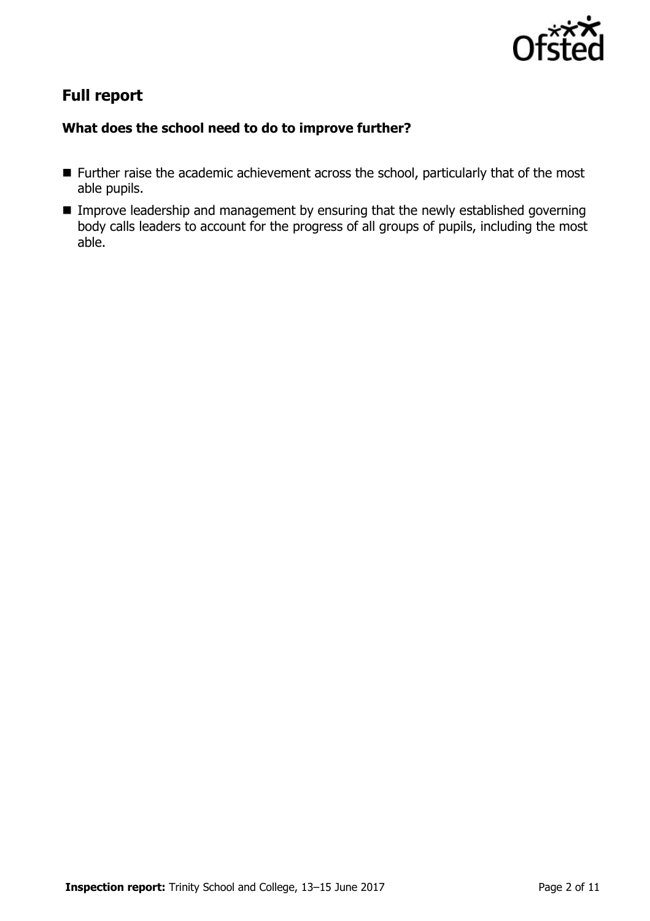

# **Full report**

### **What does the school need to do to improve further?**

- **Further raise the academic achievement across the school, particularly that of the most** able pupils.
- **IMPROVE LEADERSHIP and management by ensuring that the newly established governing** body calls leaders to account for the progress of all groups of pupils, including the most able.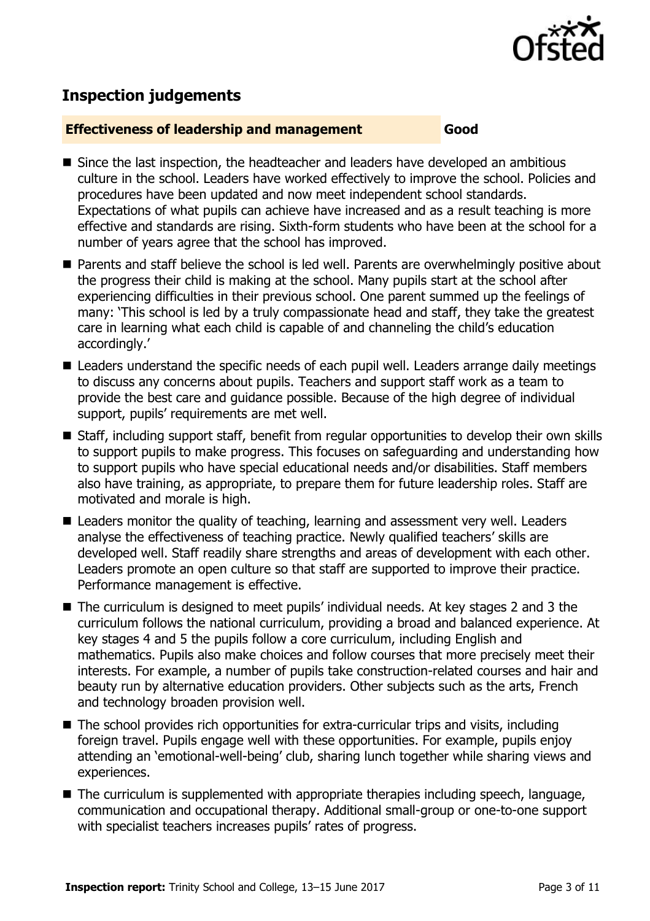

# **Inspection judgements**

#### **Effectiveness of leadership and management Good**

- Since the last inspection, the headteacher and leaders have developed an ambitious culture in the school. Leaders have worked effectively to improve the school. Policies and procedures have been updated and now meet independent school standards. Expectations of what pupils can achieve have increased and as a result teaching is more effective and standards are rising. Sixth-form students who have been at the school for a number of years agree that the school has improved.
- Parents and staff believe the school is led well. Parents are overwhelmingly positive about the progress their child is making at the school. Many pupils start at the school after experiencing difficulties in their previous school. One parent summed up the feelings of many: 'This school is led by a truly compassionate head and staff, they take the greatest care in learning what each child is capable of and channeling the child's education accordingly.'
- Leaders understand the specific needs of each pupil well. Leaders arrange daily meetings to discuss any concerns about pupils. Teachers and support staff work as a team to provide the best care and guidance possible. Because of the high degree of individual support, pupils' requirements are met well.
- Staff, including support staff, benefit from regular opportunities to develop their own skills to support pupils to make progress. This focuses on safeguarding and understanding how to support pupils who have special educational needs and/or disabilities. Staff members also have training, as appropriate, to prepare them for future leadership roles. Staff are motivated and morale is high.
- Leaders monitor the quality of teaching, learning and assessment very well. Leaders analyse the effectiveness of teaching practice. Newly qualified teachers' skills are developed well. Staff readily share strengths and areas of development with each other. Leaders promote an open culture so that staff are supported to improve their practice. Performance management is effective.
- The curriculum is designed to meet pupils' individual needs. At key stages 2 and 3 the curriculum follows the national curriculum, providing a broad and balanced experience. At key stages 4 and 5 the pupils follow a core curriculum, including English and mathematics. Pupils also make choices and follow courses that more precisely meet their interests. For example, a number of pupils take construction-related courses and hair and beauty run by alternative education providers. Other subjects such as the arts, French and technology broaden provision well.
- The school provides rich opportunities for extra-curricular trips and visits, including foreign travel. Pupils engage well with these opportunities. For example, pupils enjoy attending an 'emotional-well-being' club, sharing lunch together while sharing views and experiences.
- The curriculum is supplemented with appropriate therapies including speech, language, communication and occupational therapy. Additional small-group or one-to-one support with specialist teachers increases pupils' rates of progress.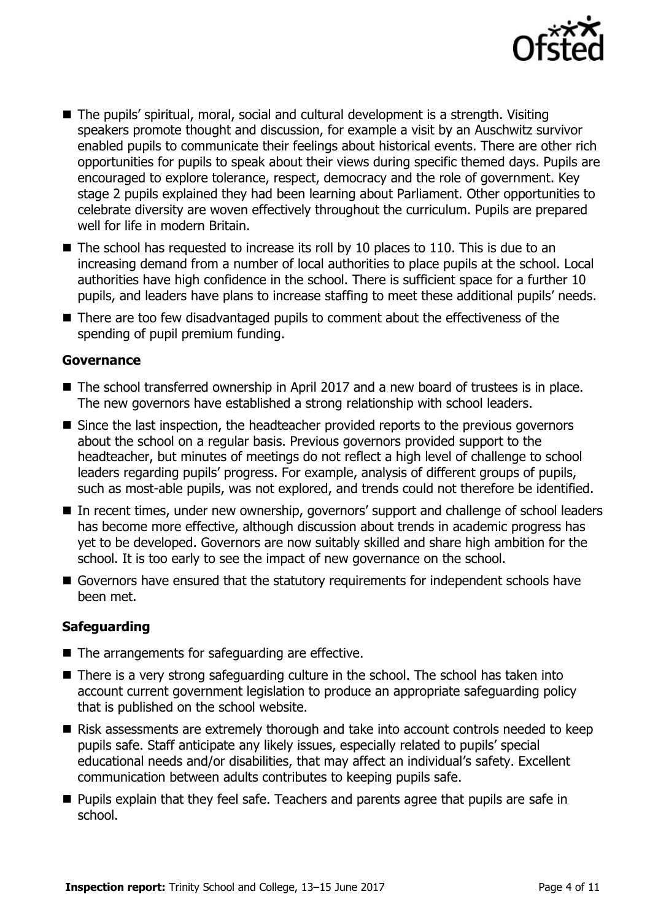

- The pupils' spiritual, moral, social and cultural development is a strength. Visiting speakers promote thought and discussion, for example a visit by an Auschwitz survivor enabled pupils to communicate their feelings about historical events. There are other rich opportunities for pupils to speak about their views during specific themed days. Pupils are encouraged to explore tolerance, respect, democracy and the role of government. Key stage 2 pupils explained they had been learning about Parliament. Other opportunities to celebrate diversity are woven effectively throughout the curriculum. Pupils are prepared well for life in modern Britain.
- $\blacksquare$  The school has requested to increase its roll by 10 places to 110. This is due to an increasing demand from a number of local authorities to place pupils at the school. Local authorities have high confidence in the school. There is sufficient space for a further 10 pupils, and leaders have plans to increase staffing to meet these additional pupils' needs.
- There are too few disadvantaged pupils to comment about the effectiveness of the spending of pupil premium funding.

#### **Governance**

- The school transferred ownership in April 2017 and a new board of trustees is in place. The new governors have established a strong relationship with school leaders.
- Since the last inspection, the headteacher provided reports to the previous governors about the school on a regular basis. Previous governors provided support to the headteacher, but minutes of meetings do not reflect a high level of challenge to school leaders regarding pupils' progress. For example, analysis of different groups of pupils, such as most-able pupils, was not explored, and trends could not therefore be identified.
- In recent times, under new ownership, governors' support and challenge of school leaders has become more effective, although discussion about trends in academic progress has yet to be developed. Governors are now suitably skilled and share high ambition for the school. It is too early to see the impact of new governance on the school.
- Governors have ensured that the statutory requirements for independent schools have been met.

### **Safeguarding**

- $\blacksquare$  The arrangements for safeguarding are effective.
- There is a very strong safeguarding culture in the school. The school has taken into account current government legislation to produce an appropriate safeguarding policy that is published on the school website.
- Risk assessments are extremely thorough and take into account controls needed to keep pupils safe. Staff anticipate any likely issues, especially related to pupils' special educational needs and/or disabilities, that may affect an individual's safety. Excellent communication between adults contributes to keeping pupils safe.
- **Pupils explain that they feel safe. Teachers and parents agree that pupils are safe in** school.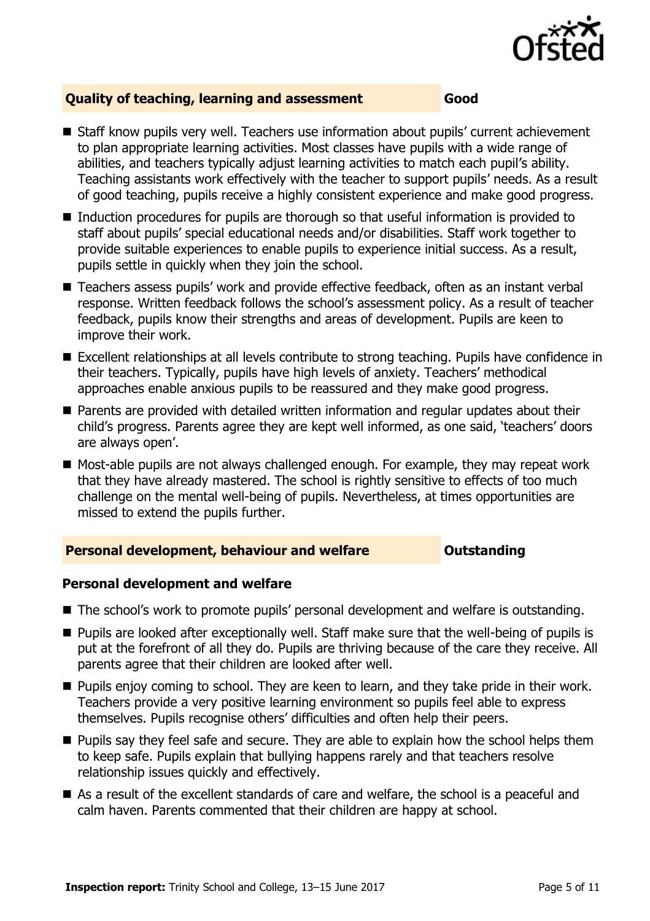

### **Quality of teaching, learning and assessment Good**

- Staff know pupils very well. Teachers use information about pupils' current achievement to plan appropriate learning activities. Most classes have pupils with a wide range of abilities, and teachers typically adjust learning activities to match each pupil's ability. Teaching assistants work effectively with the teacher to support pupils' needs. As a result of good teaching, pupils receive a highly consistent experience and make good progress.
- Induction procedures for pupils are thorough so that useful information is provided to staff about pupils' special educational needs and/or disabilities. Staff work together to provide suitable experiences to enable pupils to experience initial success. As a result, pupils settle in quickly when they join the school.
- Teachers assess pupils' work and provide effective feedback, often as an instant verbal response. Written feedback follows the school's assessment policy. As a result of teacher feedback, pupils know their strengths and areas of development. Pupils are keen to improve their work.
- Excellent relationships at all levels contribute to strong teaching. Pupils have confidence in their teachers. Typically, pupils have high levels of anxiety. Teachers' methodical approaches enable anxious pupils to be reassured and they make good progress.
- **Parents are provided with detailed written information and regular updates about their** child's progress. Parents agree they are kept well informed, as one said, 'teachers' doors are always open'.
- Most-able pupils are not always challenged enough. For example, they may repeat work that they have already mastered. The school is rightly sensitive to effects of too much challenge on the mental well-being of pupils. Nevertheless, at times opportunities are missed to extend the pupils further.

### **Personal development, behaviour and welfare <b>COUNG COUTS** Outstanding

### **Personal development and welfare**

- The school's work to promote pupils' personal development and welfare is outstanding.
- Pupils are looked after exceptionally well. Staff make sure that the well-being of pupils is put at the forefront of all they do. Pupils are thriving because of the care they receive. All parents agree that their children are looked after well.
- **Pupils enjoy coming to school. They are keen to learn, and they take pride in their work.** Teachers provide a very positive learning environment so pupils feel able to express themselves. Pupils recognise others' difficulties and often help their peers.
- **Pupils say they feel safe and secure. They are able to explain how the school helps them** to keep safe. Pupils explain that bullying happens rarely and that teachers resolve relationship issues quickly and effectively.
- As a result of the excellent standards of care and welfare, the school is a peaceful and calm haven. Parents commented that their children are happy at school.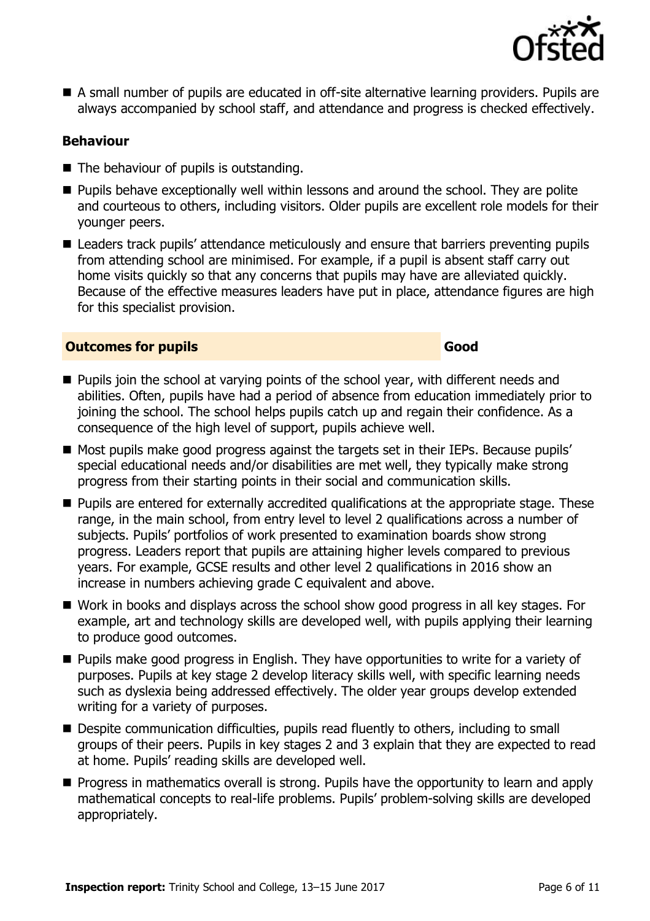

 A small number of pupils are educated in off-site alternative learning providers. Pupils are always accompanied by school staff, and attendance and progress is checked effectively.

### **Behaviour**

- The behaviour of pupils is outstanding.
- **Pupils behave exceptionally well within lessons and around the school. They are polite** and courteous to others, including visitors. Older pupils are excellent role models for their younger peers.
- Leaders track pupils' attendance meticulously and ensure that barriers preventing pupils from attending school are minimised. For example, if a pupil is absent staff carry out home visits quickly so that any concerns that pupils may have are alleviated quickly. Because of the effective measures leaders have put in place, attendance figures are high for this specialist provision.

#### **Outcomes for pupils Good**

- **Pupils join the school at varying points of the school year, with different needs and** abilities. Often, pupils have had a period of absence from education immediately prior to joining the school. The school helps pupils catch up and regain their confidence. As a consequence of the high level of support, pupils achieve well.
- Most pupils make good progress against the targets set in their IEPs. Because pupils' special educational needs and/or disabilities are met well, they typically make strong progress from their starting points in their social and communication skills.
- **Pupils are entered for externally accredited qualifications at the appropriate stage. These** range, in the main school, from entry level to level 2 qualifications across a number of subjects. Pupils' portfolios of work presented to examination boards show strong progress. Leaders report that pupils are attaining higher levels compared to previous years. For example, GCSE results and other level 2 qualifications in 2016 show an increase in numbers achieving grade C equivalent and above.
- Work in books and displays across the school show good progress in all key stages. For example, art and technology skills are developed well, with pupils applying their learning to produce good outcomes.
- **Pupils make good progress in English. They have opportunities to write for a variety of** purposes. Pupils at key stage 2 develop literacy skills well, with specific learning needs such as dyslexia being addressed effectively. The older year groups develop extended writing for a variety of purposes.
- Despite communication difficulties, pupils read fluently to others, including to small groups of their peers. Pupils in key stages 2 and 3 explain that they are expected to read at home. Pupils' reading skills are developed well.
- **Progress in mathematics overall is strong. Pupils have the opportunity to learn and apply** mathematical concepts to real-life problems. Pupils' problem-solving skills are developed appropriately.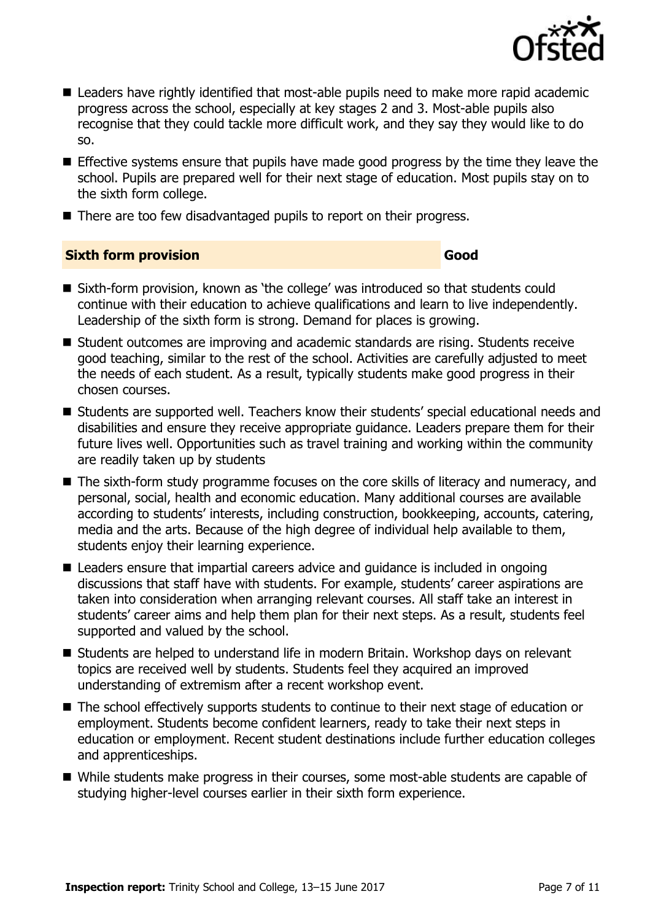

- Leaders have rightly identified that most-able pupils need to make more rapid academic progress across the school, especially at key stages 2 and 3. Most-able pupils also recognise that they could tackle more difficult work, and they say they would like to do so.
- Effective systems ensure that pupils have made good progress by the time they leave the school. Pupils are prepared well for their next stage of education. Most pupils stay on to the sixth form college.
- There are too few disadvantaged pupils to report on their progress.

### **Sixth form provision Good**

- Sixth-form provision, known as 'the college' was introduced so that students could continue with their education to achieve qualifications and learn to live independently. Leadership of the sixth form is strong. Demand for places is growing.
- Student outcomes are improving and academic standards are rising. Students receive good teaching, similar to the rest of the school. Activities are carefully adjusted to meet the needs of each student. As a result, typically students make good progress in their chosen courses.
- Students are supported well. Teachers know their students' special educational needs and disabilities and ensure they receive appropriate guidance. Leaders prepare them for their future lives well. Opportunities such as travel training and working within the community are readily taken up by students
- The sixth-form study programme focuses on the core skills of literacy and numeracy, and personal, social, health and economic education. Many additional courses are available according to students' interests, including construction, bookkeeping, accounts, catering, media and the arts. Because of the high degree of individual help available to them, students enjoy their learning experience.
- Leaders ensure that impartial careers advice and guidance is included in ongoing discussions that staff have with students. For example, students' career aspirations are taken into consideration when arranging relevant courses. All staff take an interest in students' career aims and help them plan for their next steps. As a result, students feel supported and valued by the school.
- Students are helped to understand life in modern Britain. Workshop days on relevant topics are received well by students. Students feel they acquired an improved understanding of extremism after a recent workshop event.
- The school effectively supports students to continue to their next stage of education or employment. Students become confident learners, ready to take their next steps in education or employment. Recent student destinations include further education colleges and apprenticeships.
- While students make progress in their courses, some most-able students are capable of studying higher-level courses earlier in their sixth form experience.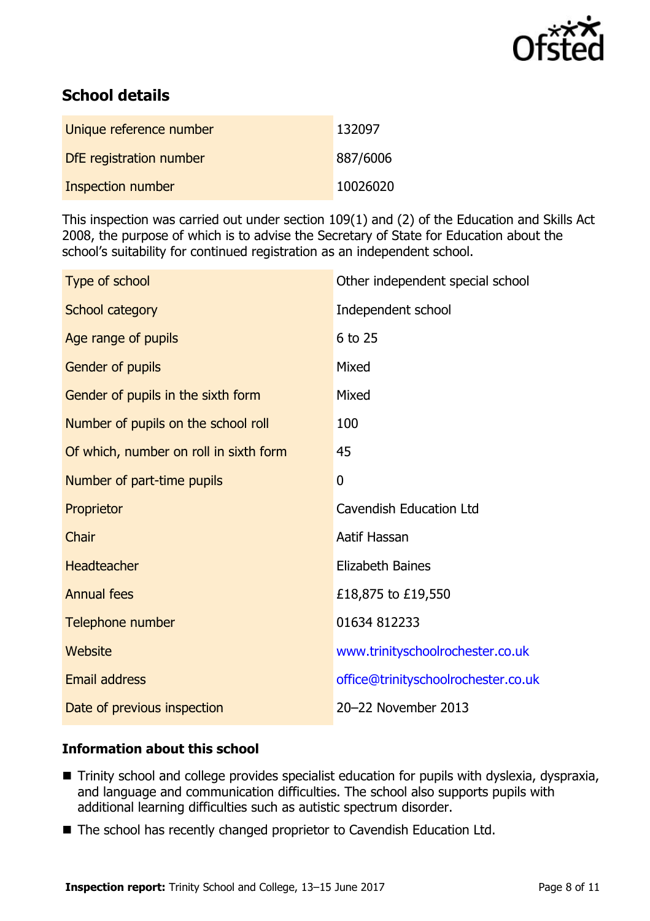

# **School details**

| Unique reference number  | 132097   |
|--------------------------|----------|
| DfE registration number  | 887/6006 |
| <b>Inspection number</b> | 10026020 |

This inspection was carried out under section 109(1) and (2) of the Education and Skills Act 2008, the purpose of which is to advise the Secretary of State for Education about the school's suitability for continued registration as an independent school.

| Type of school                         | Other independent special school    |
|----------------------------------------|-------------------------------------|
| School category                        | Independent school                  |
| Age range of pupils                    | 6 to 25                             |
| Gender of pupils                       | Mixed                               |
| Gender of pupils in the sixth form     | Mixed                               |
| Number of pupils on the school roll    | 100                                 |
| Of which, number on roll in sixth form | 45                                  |
| Number of part-time pupils             | $\mathbf 0$                         |
| Proprietor                             | Cavendish Education Ltd             |
| Chair                                  | Aatif Hassan                        |
| Headteacher                            | <b>Elizabeth Baines</b>             |
| <b>Annual fees</b>                     | £18,875 to £19,550                  |
| Telephone number                       | 01634 812233                        |
| Website                                | www.trinityschoolrochester.co.uk    |
| <b>Email address</b>                   | office@trinityschoolrochester.co.uk |
| Date of previous inspection            | 20-22 November 2013                 |

### **Information about this school**

- Trinity school and college provides specialist education for pupils with dyslexia, dyspraxia, and language and communication difficulties. The school also supports pupils with additional learning difficulties such as autistic spectrum disorder.
- The school has recently changed proprietor to Cavendish Education Ltd.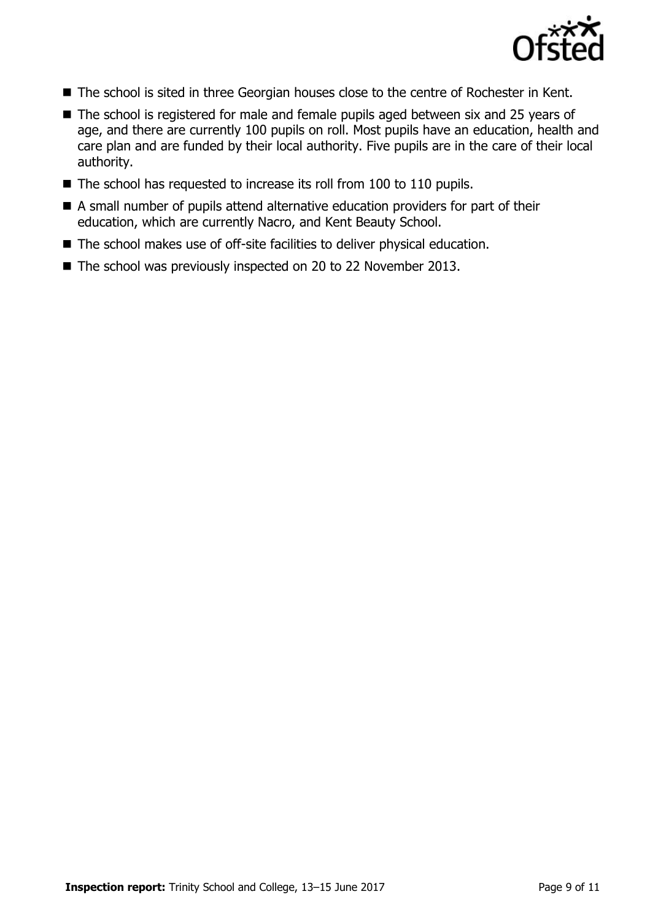

- The school is sited in three Georgian houses close to the centre of Rochester in Kent.
- The school is registered for male and female pupils aged between six and 25 years of age, and there are currently 100 pupils on roll. Most pupils have an education, health and care plan and are funded by their local authority. Five pupils are in the care of their local authority.
- $\blacksquare$  The school has requested to increase its roll from 100 to 110 pupils.
- A small number of pupils attend alternative education providers for part of their education, which are currently Nacro, and Kent Beauty School.
- The school makes use of off-site facilities to deliver physical education.
- The school was previously inspected on 20 to 22 November 2013.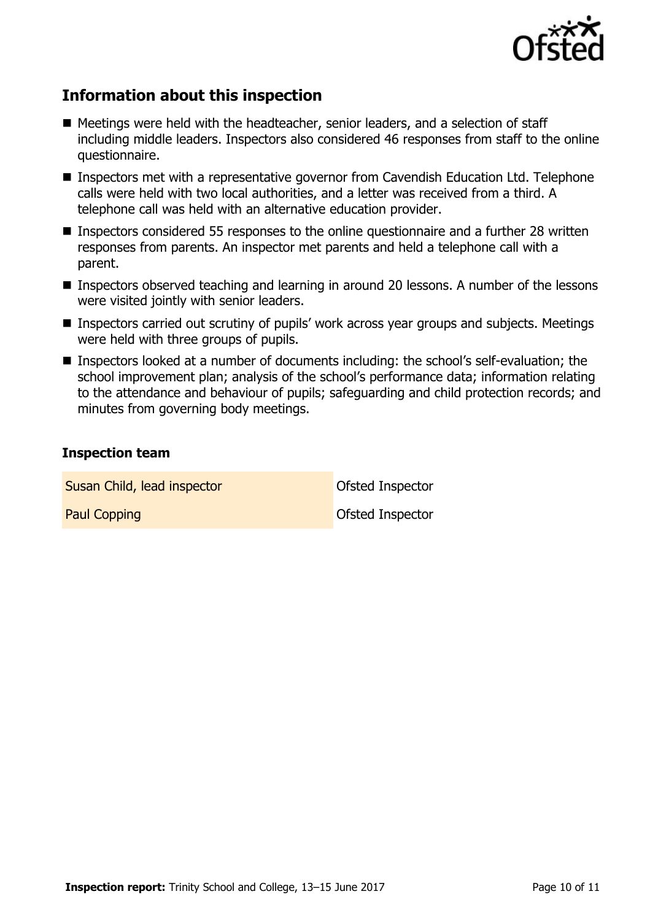

# **Information about this inspection**

- Meetings were held with the headteacher, senior leaders, and a selection of staff including middle leaders. Inspectors also considered 46 responses from staff to the online questionnaire.
- Inspectors met with a representative governor from Cavendish Education Ltd. Telephone calls were held with two local authorities, and a letter was received from a third. A telephone call was held with an alternative education provider.
- Inspectors considered 55 responses to the online questionnaire and a further 28 written responses from parents. An inspector met parents and held a telephone call with a parent.
- Inspectors observed teaching and learning in around 20 lessons. A number of the lessons were visited jointly with senior leaders.
- Inspectors carried out scrutiny of pupils' work across year groups and subjects. Meetings were held with three groups of pupils.
- Inspectors looked at a number of documents including: the school's self-evaluation; the school improvement plan; analysis of the school's performance data; information relating to the attendance and behaviour of pupils; safeguarding and child protection records; and minutes from governing body meetings.

#### **Inspection team**

**Susan Child, lead inspector Child Construction Child Child Child Child Child Child Child Child Child Child Child Child Child Child Child Child Child Child Child Child Child Child Child Child Child Child Child Child Child** 

Paul Copping **Paul Copping Computer Computer** Ofsted Inspector